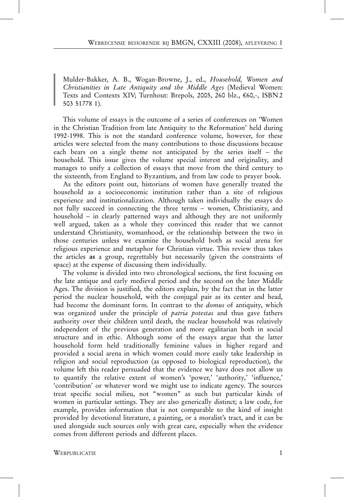Mulder-Bakker, A. B., Wogan-Browne, J., ed., Household, Women and Christianities in Late Antiquity and the Middle Ages (Medieval Women: Texts and Contexts XIV; Turnhout: Brepols, 2005, 260 blz., €60,-, ISBN 2 503 51778 1).

This volume of essays is the outcome of a series of conferences on 'Women in the Christian Tradition from late Antiquity to the Reformation' held during 1992-1998. This is not the standard conference volume, however, for these articles were selected from the many contributions to those discussions because each bears on a single theme not anticipated by the series itself – the household. This issue gives the volume special interest and originality, and manages to unify a collection of essays that move from the third century to the sixteenth, from England to Byzantium, and from law code to prayer book.

As the editors point out, historians of women have generally treated the household as a socioeconomic institution rather than a site of religious experience and institutionalization. Although taken individually the essays do not fully succeed in connecting the three terms – women, Christianity, and household – in clearly patterned ways and although they are not uniformly well argued, taken as a whole they convinced this reader that we cannot understand Christianity, womanhood, or the relationship between the two in those centuries unless we examine the household both as social arena for religious experience and metaphor for Christian virtue. This review thus takes the articles as a group, regrettably but necessarily (given the constraints of space) at the expense of discussing them individually.

The volume is divided into two chronological sections, the first focusing on the late antique and early medieval period and the second on the later Middle Ages. The division is justified, the editors explain, by the fact that in the latter period the nuclear household, with the conjugal pair as its center and head, had become the dominant form. In contrast to the *domus* of antiquity, which was organized under the principle of *patria potestas* and thus gave fathers authority over their children until death, the nuclear household was relatively independent of the previous generation and more egalitarian both in social structure and in ethic. Although some of the essays argue that the latter household form held traditionally feminine values in higher regard and provided a social arena in which women could more easily take leadership in religion and social reproduction (as opposed to biological reproduction), the volume left this reader persuaded that the evidence we have does not allow us to quantify the relative extent of women's 'power,' 'authority,' 'influence,' 'contribution' or whatever word we might use to indicate agency. The sources treat specific social milieu, not "women" as such but particular kinds of women in particular settings. They are also generically distinct; a law code, for example, provides information that is not comparable to the kind of insight provided by devotional literature, a painting, or a moralist's tract, and it can be used alongside such sources only with great care, especially when the evidence comes from different periods and different places.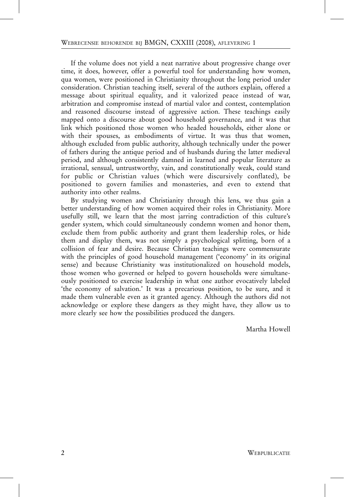If the volume does not yield a neat narrative about progressive change over time, it does, however, offer a powerful tool for understanding how women, qua women, were positioned in Christianity throughout the long period under consideration. Christian teaching itself, several of the authors explain, offered a message about spiritual equality, and it valorized peace instead of war, arbitration and compromise instead of martial valor and contest, contemplation and reasoned discourse instead of aggressive action. These teachings easily mapped onto a discourse about good household governance, and it was that link which positioned those women who headed households, either alone or with their spouses, as embodiments of virtue. It was thus that women, although excluded from public authority, although technically under the power of fathers during the antique period and of husbands during the latter medieval period, and although consistently damned in learned and popular literature as irrational, sensual, untrustworthy, vain, and constitutionally weak, could stand for public or Christian values (which were discursively conflated), be positioned to govern families and monasteries, and even to extend that authority into other realms.

By studying women and Christianity through this lens, we thus gain a better understanding of how women acquired their roles in Christianity. More usefully still, we learn that the most jarring contradiction of this culture's gender system, which could simultaneously condemn women and honor them, exclude them from public authority and grant them leadership roles, or hide them and display them, was not simply a psychological splitting, born of a collision of fear and desire. Because Christian teachings were commensurate with the principles of good household management ('economy' in its original sense) and because Christianity was institutionalized on household models, those women who governed or helped to govern households were simultaneously positioned to exercise leadership in what one author evocatively labeled 'the economy of salvation.' It was a precarious position, to be sure, and it made them vulnerable even as it granted agency. Although the authors did not acknowledge or explore these dangers as they might have, they allow us to more clearly see how the possibilities produced the dangers.

Martha Howell